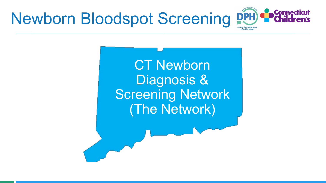

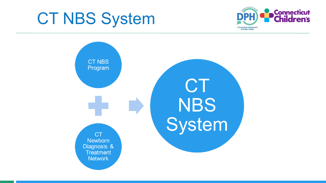## CT NBS System



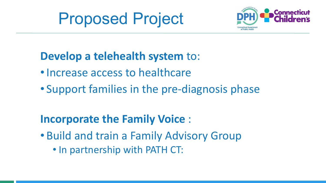



#### **Develop a telehealth system** to:

- Increase access to healthcare
- Support families in the pre-diagnosis phase

#### **Incorporate the Family Voice** :

- Build and train a Family Advisory Group
	- In partnership with PATH CT: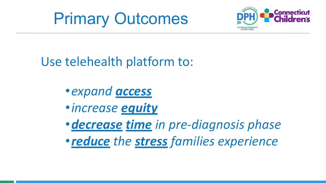



Use telehealth platform to:

•*expand access* •*increase equity* •*decrease time in pre-diagnosis phase* •*reduce the stress families experience*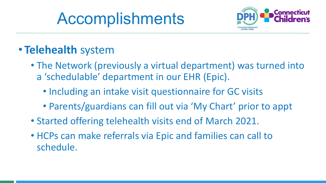# Accomplishments



#### • **Telehealth** system

- The Network (previously a virtual department) was turned into a 'schedulable' department in our EHR (Epic).
	- Including an intake visit questionnaire for GC visits
	- Parents/guardians can fill out via 'My Chart' prior to appt
- Started offering telehealth visits end of March 2021.
- HCPs can make referrals via Epic and families can call to schedule.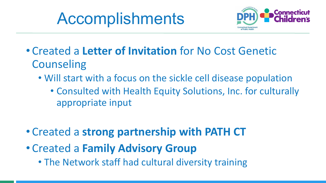# Accomplishments



- Created a **Letter of Invitation** for No Cost Genetic **Counseling** 
	- Will start with a focus on the sickle cell disease population
		- Consulted with Health Equity Solutions, Inc. for culturally appropriate input
- Created a **strong partnership with PATH CT**
- Created a **Family Advisory Group**
	- The Network staff had cultural diversity training